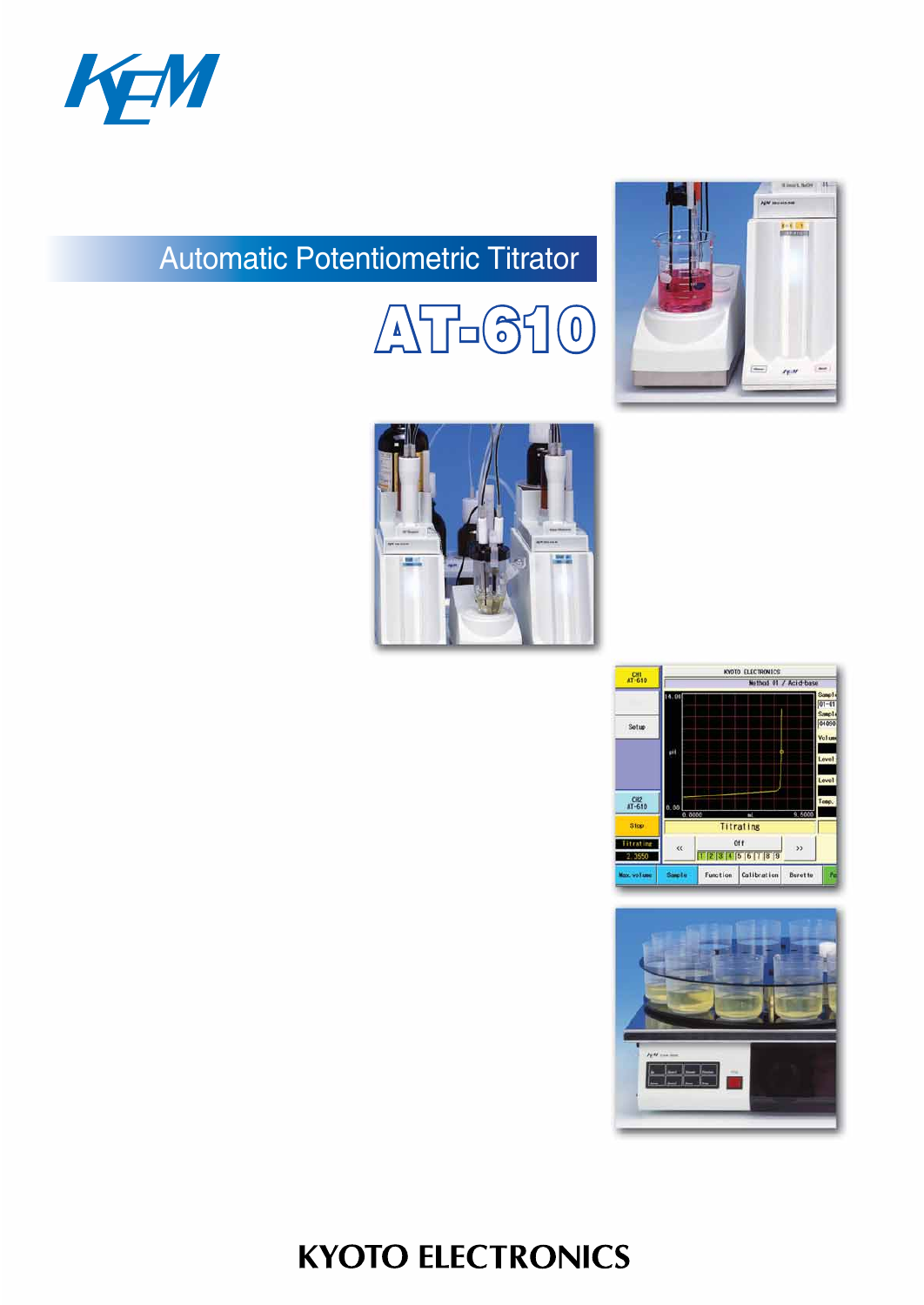

# Automatic Potentiometric Titrator











# **KYOTO ELECTRONICS**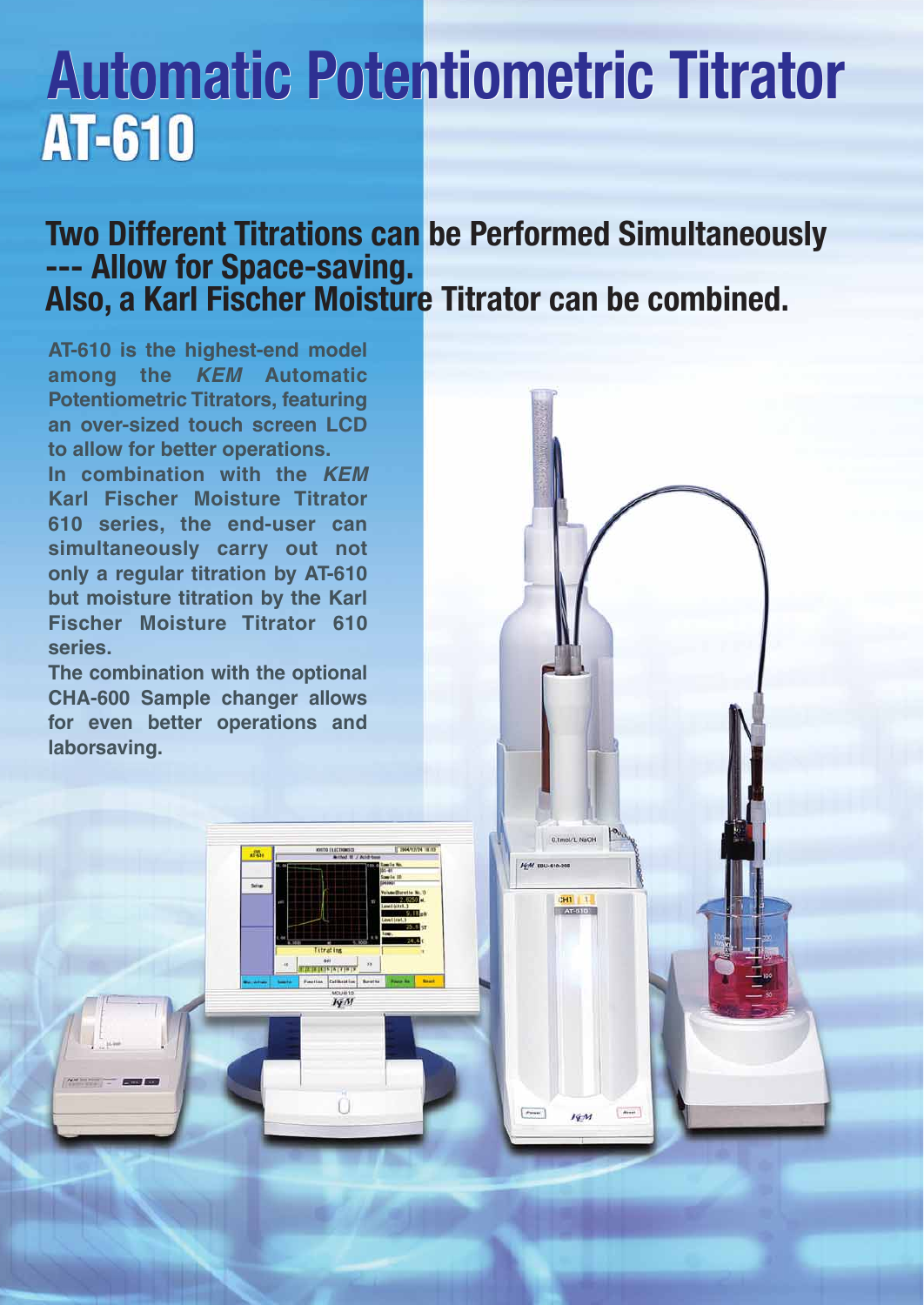# **Automatic Potentiometric Titrator Automatic Potentiometric Titrator AT-610**

# **Two Different Titrations can be Performed Simultaneously --- Allow for Space-saving. Also, a Karl Fischer Moisture Titrator can be combined.**

0.tmol/L NaOH

 $\frac{1}{2H}$ 

**FEM EBU-610-208** 

 $[.000]$ 

deset

 $I\sqrt{M}$ 

**AT-610 is the highest-end model among the KEM Automatic Potentiometric Titrators, featuring an over-sized touch screen LCD to allow for better operations.**

**In combination with the KEM Karl Fischer Moisture Titrator 610 series, the end-user can simultaneously carry out not only a regular titration by AT-610 but moisture titration by the Karl Fischer Moisture Titrator 610 series.**

**The combination with the optional CHA-600 Sample changer allows for even better operations and laborsaving.**

 $I\sqrt{M}$ 

Ω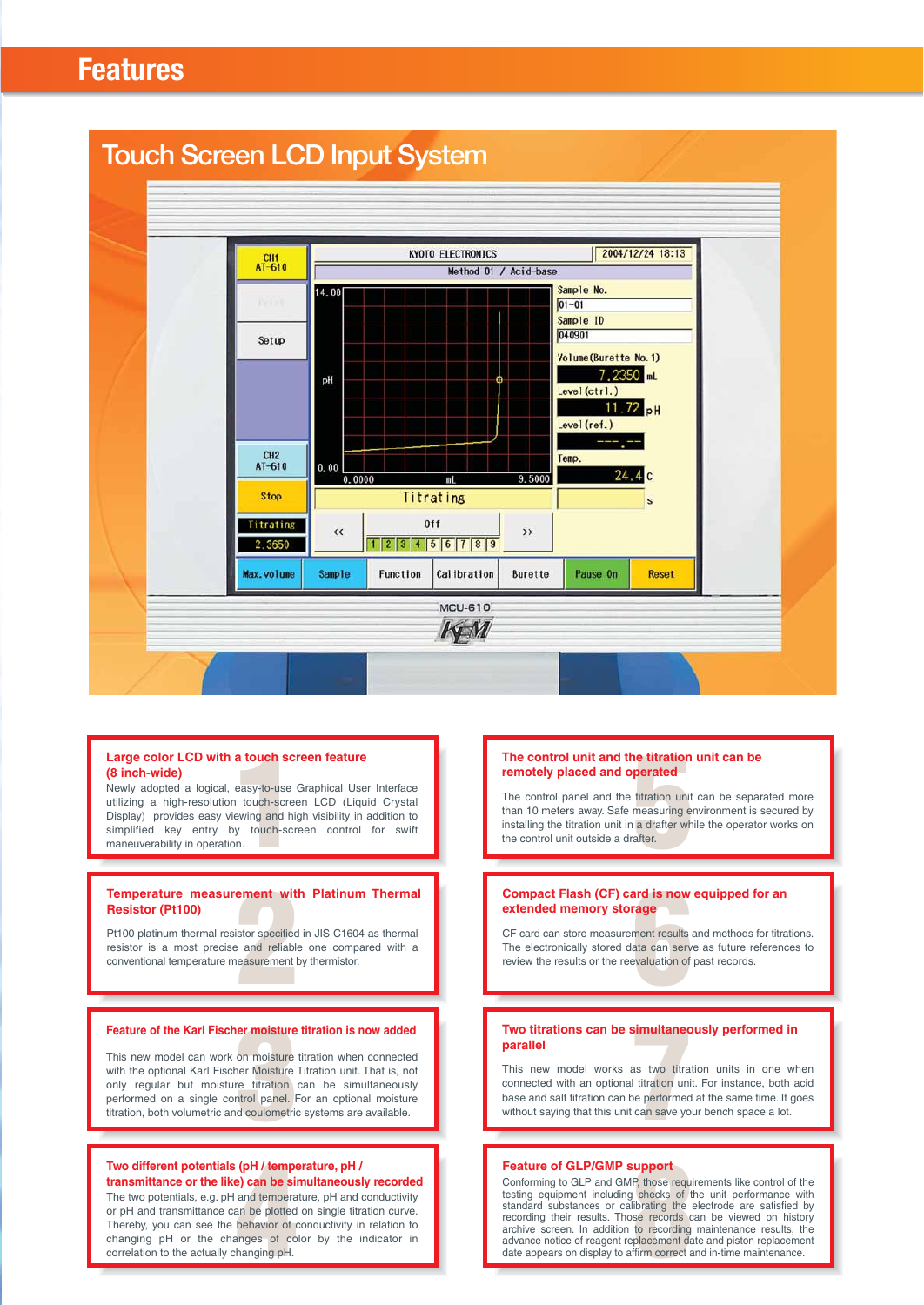



### **Large color LCD with a touch screen feature (8 inch-wide)**

Large color LCD with a touch screen feature<br>
(8 inch-wide)<br>
Newly adopted a logical, easy-to-use Graphical User Interface<br>
utilizing a high-resolution touch-screen LCD (Liquid Crystal<br>
Display) provides easy viewing and hi utilizing a high-resolution touch-screen LCD (Liquid Crystal Display) provides easy viewing and high visibility in addition to simplified key entry by touch-screen control for swift maneuverability in operation.

# **Resistor (Pt100)**

**Properature measurement with Platinum Thermal Resistor (Pt100)**<br>
Pt100 platinum thermal resistor specified in JIS C1604 as thermal resistor is a most precise and reliable one compared with a conventional temperature measu Pt100 platinum thermal resistor specified in JIS C1604 as thermal resistor is a most precise and reliable one compared with a conventional temperature measurement by thermistor.

**Feature of the Karl Fischer moisture titration is now added**<br>This new model can work on moisture titration when connected<br>with the optional Karl Fischer Moisture Titration unit. That is, not<br>only regular but moisture titr This new model can work on moisture titration when connected with the optional Karl Fischer Moisture Titration unit. That is, not only regular but moisture titration can be simultaneously performed on a single control panel. For an optional moisture titration, both volumetric and coulometric systems are available.

#### **Two different potentials (pH / temperature, pH / transmittance or the like) can be simultaneously recorded**

**(pH / tempe)**<br> **an be si**<br>
and tempera<br>
an be plotted<br>
behavior of co<br>
anging pH. The two potentials, e.g. pH and temperature, pH and conductivity or pH and transmittance can be plotted on single titration curve. Thereby, you can see the behavior of conductivity in relation to changing pH or the changes of color by the indicator in correlation to the actually changing pH.

#### **The control unit and the titration unit can be remotely placed and operated**

**ne titration<br>perated**<br>titration unit<br>measuring en<br>a drafter wh<br>after. The control panel and the titration unit can be separated more than 10 meters away. Safe measuring environment is secured by installing the titration unit in a drafter while the operator works on the control unit outside a drafter.

# **extended memory storage**

**Compact Flash (CF) card is now equipped for an extended memory storage**<br>
CF card can store measurement results and methods for titrat<br>
The electronically stored data can serve as future reference<br>
review the results or th CF card can store measurement results and methods for titrations. The electronically stored data can serve as future references to review the results or the reevaluation of past records.

# **parallel**

**Two titrations can be simultaneously performed in parallel**<br>
This new model works as two titration units in one wh<br>
connected with an optional titration unit. For instance, both a<br>
base and salt titration can be performed This new model works as two titration units in one when connected with an optional titration unit. For instance, both acid base and salt titration can be performed at the same time. It goes without saying that this unit can save your bench space a lot.

### **Feature of GLP/GMP support**

**Example of**<br>**P**, those requinded the checks of the checks of the second<br>**B** is a recording placement day<br>placement day for the correct a Conforming to GLP and GMP, those requirements like control of the testing equipment including checks of the unit performance with standard substances or calibrating the electrode are satisfied by recording their results. Those records can be viewed on history archive screen. In addition to recording maintenance results, the advance notice of reagent replacement date and piston replacement date appears on display to affirm correct and in-time maintenance.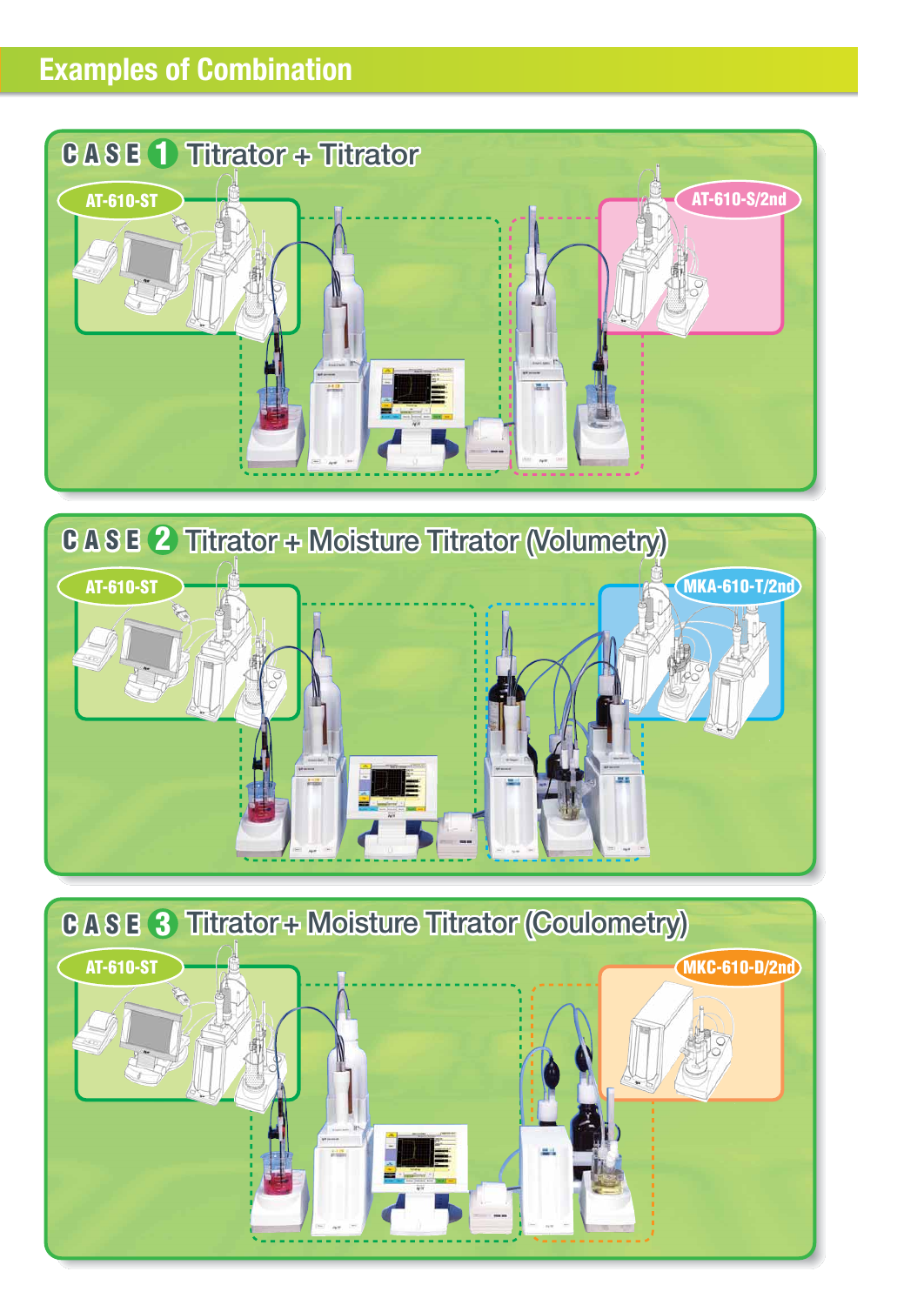# **Examples of Combination**





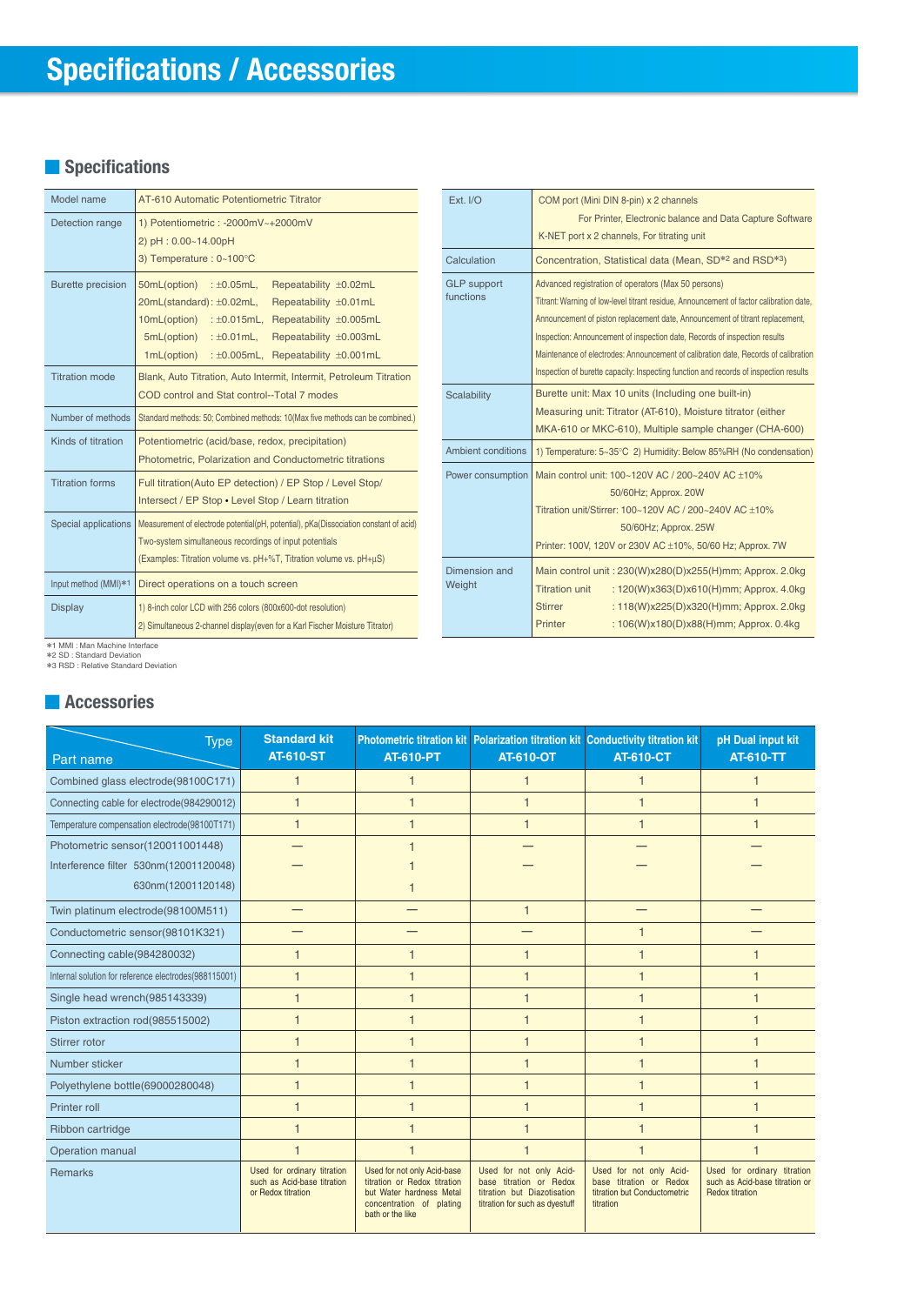## **■ Specifications**

| Model name               | AT-610 Automatic Potentiometric Titrator                                                                                                                                                                                                                                                        |  |  |
|--------------------------|-------------------------------------------------------------------------------------------------------------------------------------------------------------------------------------------------------------------------------------------------------------------------------------------------|--|--|
| Detection range          | 1) Potentiometric: -2000mV~+2000mV<br>2) pH: 0.00~14.00pH<br>3) Temperature: 0~100°C                                                                                                                                                                                                            |  |  |
| <b>Burette precision</b> | 50mL(option)<br>: $\pm 0.05$ mL,<br>Repeatability ±0.02mL<br>20mL(standard): ±0.02mL,<br>Repeatability ±0.01mL<br>10mL(option) : ±0.015mL,<br>Repeatability ±0.005mL<br>5mL(option)<br>: $\pm 0.01$ mL,<br>Repeatability ±0.003mL<br>1mL(option)<br>: $\pm 0.005$ mL,<br>Repeatability ±0.001mL |  |  |
| <b>Titration mode</b>    | Blank, Auto Titration, Auto Intermit, Intermit, Petroleum Titration<br>COD control and Stat control--Total 7 modes                                                                                                                                                                              |  |  |
| Number of methods        | Standard methods: 50; Combined methods: 10(Max five methods can be combined.)                                                                                                                                                                                                                   |  |  |
| Kinds of titration       | Potentiometric (acid/base, redox, precipitation)<br>Photometric, Polarization and Conductometric titrations                                                                                                                                                                                     |  |  |
| <b>Titration forms</b>   | Full titration(Auto EP detection) / EP Stop / Level Stop/<br>Intersect / EP Stop . Level Stop / Learn titration                                                                                                                                                                                 |  |  |
| Special applications     | Measurement of electrode potential(pH, potential), pKa(Dissociation constant of acid)<br>Two-system simultaneous recordings of input potentials<br>(Examples: Titration volume vs. pH+%T, Titration volume vs. pH+uS)                                                                           |  |  |
| Input method (MMI)*1     | Direct operations on a touch screen                                                                                                                                                                                                                                                             |  |  |
| <b>Display</b>           | 1) 8-inch color LCD with 256 colors (800x600-dot resolution)<br>2) Simultaneous 2-channel display (even for a Karl Fischer Moisture Titrator)                                                                                                                                                   |  |  |

| Ext. I/O                        | COM port (Mini DIN 8-pin) x 2 channels<br>For Printer, Electronic balance and Data Capture Software<br>K-NET port x 2 channels, For titrating unit                                                                                                                                                                                                                                                                                                                                            |  |  |
|---------------------------------|-----------------------------------------------------------------------------------------------------------------------------------------------------------------------------------------------------------------------------------------------------------------------------------------------------------------------------------------------------------------------------------------------------------------------------------------------------------------------------------------------|--|--|
| Calculation                     | Concentration, Statistical data (Mean, SD <sup>*2</sup> and RSD <sup>*3</sup> )                                                                                                                                                                                                                                                                                                                                                                                                               |  |  |
| <b>GLP</b> support<br>functions | Advanced registration of operators (Max 50 persons)<br>Titrant: Warning of low-level titrant residue, Announcement of factor calibration date,<br>Announcement of piston replacement date, Announcement of titrant replacement,<br>Inspection: Announcement of inspection date, Records of inspection results<br>Maintenance of electrodes: Announcement of calibration date, Records of calibration<br>Inspection of burette capacity: Inspecting function and records of inspection results |  |  |
| <b>Scalability</b>              | Burette unit: Max 10 units (Including one built-in)<br>Measuring unit: Titrator (AT-610), Moisture titrator (either<br>MKA-610 or MKC-610), Multiple sample changer (CHA-600)                                                                                                                                                                                                                                                                                                                 |  |  |
| Ambient conditions              | 1) Temperature: 5~35°C 2) Humidity: Below 85%RH (No condensation)                                                                                                                                                                                                                                                                                                                                                                                                                             |  |  |
| Power consumption               | Main control unit: 100~120V AC / 200~240V AC +10%<br>50/60Hz; Approx. 20W<br>Titration unit/Stirrer: 100~120V AC / 200~240V AC ±10%<br>50/60Hz; Approx. 25W<br>Printer: 100V, 120V or 230V AC ±10%, 50/60 Hz; Approx. 7W                                                                                                                                                                                                                                                                      |  |  |
| Dimension and<br>Weight         | Main control unit: 230(W)x280(D)x255(H)mm; Approx. 2.0kg<br><b>Titration unit</b><br>: 120(W)x363(D)x610(H)mm; Approx. 4.0kg<br><b>Stirrer</b><br>: 118(W)x225(D)x320(H)mm; Approx. 2.0kg<br>: 106(W)x180(D)x88(H)mm; Approx. 0.4kg<br>Printer                                                                                                                                                                                                                                                |  |  |

\*1 MMI : Man Machine Interface \*2 SD : Standard Deviation \*3 RSD : Relative Standard Deviation

### **■ Accessories**

| <b>Type</b>                                           | <b>Standard kit</b><br><b>AT-610-ST</b>                                          | <b>AT-610-PT</b>                                                                                                                        | Photometric titration kit Polarization titration kit Conductivity titration kit<br><b>AT-610-OT</b>                 | <b>AT-610-CT</b>                                                                                | pH Dual input kit<br><b>AT-610-TT</b>                                                   |
|-------------------------------------------------------|----------------------------------------------------------------------------------|-----------------------------------------------------------------------------------------------------------------------------------------|---------------------------------------------------------------------------------------------------------------------|-------------------------------------------------------------------------------------------------|-----------------------------------------------------------------------------------------|
| Part name                                             |                                                                                  |                                                                                                                                         |                                                                                                                     |                                                                                                 |                                                                                         |
| Combined glass electrode(98100C171)                   | 1                                                                                | 1                                                                                                                                       | $\mathbf 1$                                                                                                         |                                                                                                 | 1                                                                                       |
| Connecting cable for electrode(984290012)             |                                                                                  |                                                                                                                                         |                                                                                                                     |                                                                                                 |                                                                                         |
| Temperature compensation electrode(98100T171)         | $\overline{\mathbf{1}}$                                                          | $\overline{1}$                                                                                                                          | $\overline{1}$                                                                                                      | $\overline{\mathbf{1}}$                                                                         |                                                                                         |
| Photometric sensor(120011001448)                      |                                                                                  |                                                                                                                                         |                                                                                                                     |                                                                                                 |                                                                                         |
| Interference filter 530nm(12001120048)                |                                                                                  |                                                                                                                                         |                                                                                                                     |                                                                                                 |                                                                                         |
| 630nm(12001120148)                                    |                                                                                  |                                                                                                                                         |                                                                                                                     |                                                                                                 |                                                                                         |
| Twin platinum electrode(98100M511)                    |                                                                                  |                                                                                                                                         |                                                                                                                     |                                                                                                 |                                                                                         |
| Conductometric sensor(98101K321)                      |                                                                                  |                                                                                                                                         |                                                                                                                     |                                                                                                 |                                                                                         |
| Connecting cable(984280032)                           | 1                                                                                | $\overline{1}$                                                                                                                          |                                                                                                                     |                                                                                                 |                                                                                         |
| Internal solution for reference electrodes(988115001) | $\overline{\mathbf{1}}$                                                          | $\overline{1}$                                                                                                                          |                                                                                                                     |                                                                                                 |                                                                                         |
| Single head wrench(985143339)                         | $\overline{1}$                                                                   | $\overline{\mathbf{1}}$                                                                                                                 | $\overline{1}$                                                                                                      | $\overline{\mathbf{1}}$                                                                         | $\overline{\phantom{a}}$                                                                |
| Piston extraction rod(985515002)                      | $\overline{\mathbf{1}}$                                                          | 1                                                                                                                                       |                                                                                                                     |                                                                                                 |                                                                                         |
| Stirrer rotor                                         | $\overline{1}$                                                                   |                                                                                                                                         |                                                                                                                     |                                                                                                 |                                                                                         |
| Number sticker                                        |                                                                                  | $\overline{1}$                                                                                                                          |                                                                                                                     |                                                                                                 |                                                                                         |
| Polyethylene bottle(69000280048)                      | $\overline{1}$                                                                   | $\overline{\mathbf{1}}$                                                                                                                 |                                                                                                                     | $\overline{\mathbf{1}}$                                                                         |                                                                                         |
| Printer roll                                          | $\overline{1}$                                                                   | ۴                                                                                                                                       |                                                                                                                     |                                                                                                 |                                                                                         |
| Ribbon cartridge                                      |                                                                                  |                                                                                                                                         |                                                                                                                     |                                                                                                 |                                                                                         |
| Operation manual                                      |                                                                                  |                                                                                                                                         |                                                                                                                     |                                                                                                 |                                                                                         |
| <b>Remarks</b>                                        | Used for ordinary titration<br>such as Acid-base titration<br>or Redox titration | Used for not only Acid-base<br>titration or Redox titration<br>but Water hardness Metal<br>concentration of plating<br>bath or the like | Used for not only Acid-<br>base titration or Redox<br>titration but Diazotisation<br>titration for such as dyestuff | Used for not only Acid-<br>base titration or Redox<br>titration but Conductometric<br>titration | Used for ordinary titration<br>such as Acid-base titration or<br><b>Redox titration</b> |